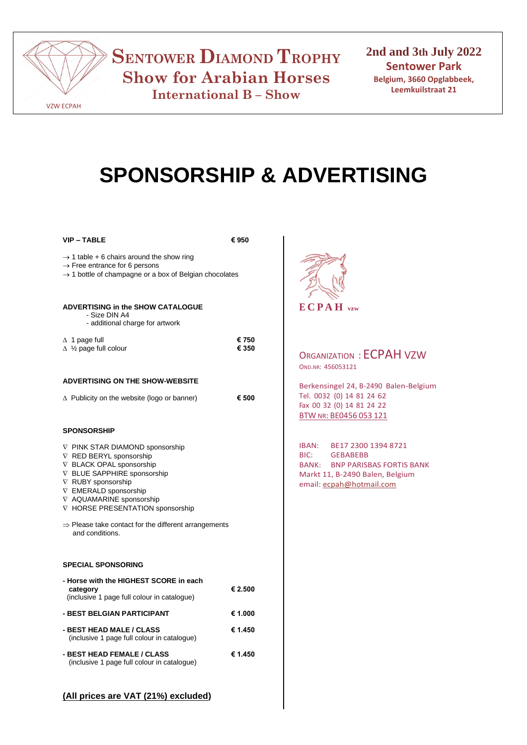

**SENTOWER DIAMOND TROPHY Show for Arabian Horses International B – Show**

**2nd and 3th July 2022 Sentower Park Belgium, 3660 Opglabbeek, Leemkuilstraat 21**

# **SPONSORSHIP & ADVERTISING**

**VIP – TABLE € 950**

| $\rightarrow$ 1 table + 6 chairs around the show ring                                                                                                                                                                          |  |
|--------------------------------------------------------------------------------------------------------------------------------------------------------------------------------------------------------------------------------|--|
| $\rightarrow$ Free entrance for 6 persons                                                                                                                                                                                      |  |
| and the substitute of the book and a social contract of the substantial second second to the second second to the second second to the second second second second second second second second second second second second sec |  |

 $\rightarrow$  1 bottle of champagne or a box of Belgian chocolates

### **ADVERTISING in the SHOW CATALOGUE**

 - Size DIN A4 - additional charge for artwork

| - additional charge for artwork           |       |
|-------------------------------------------|-------|
| $\Delta$ 1 page full                      | € 750 |
| $\Delta$ 1/ <sub>2</sub> page full colour | € 350 |

#### **ADVERTISING ON THE SHOW-WEBSITE**

|  | $\Delta$ Publicity on the website (logo or banner) | € 500 |
|--|----------------------------------------------------|-------|
|  |                                                    |       |

#### **SPONSORSHIP**

|  |  | V PINK STAR DIAMOND sponsorship |  |
|--|--|---------------------------------|--|
|--|--|---------------------------------|--|

- $\nabla$  RED BERYL sponsorship
- $\nabla$  BLACK OPAL sponsorship
- $\nabla$  BLUE SAPPHIRE sponsorship
- $\nabla$  RUBY sponsorship
- $\nabla$  EMERALD sponsorship
- $\nabla$  AQUAMARINE sponsorship
- **V** HORSE PRESENTATION sponsorship
- $\Rightarrow$  Please take contact for the different arrangements and conditions.

#### **SPECIAL SPONSORING**

| - Horse with the HIGHEST SCORE in each<br>category<br>(inclusive 1 page full colour in catalogue) | € 2.500 |
|---------------------------------------------------------------------------------------------------|---------|
| - BEST BELGIAN PARTICIPANT                                                                        | € 1.000 |
| - BEST HEAD MALE / CLASS<br>(inclusive 1 page full colour in catalogue)                           | € 1.450 |
| - BEST HEAD FEMALE / CLASS<br>(inclusive 1 page full colour in catalogue)                         | € 1.450 |



## ORGANIZATION : ECPAH VZW OND.NR: 456053121

Berkensingel 24, B-2490 Balen-Belgium Tel. 0032 (0) 14 81 24 62 Fax 00 32 (0) 14 81 24 22 BTW NR: BE0456 053 121

IBAN: BE17 2300 1394 8721 BIC: GEBABEBB BANK: BNP PARISBAS FORTIS BANK Markt 11, B-2490 Balen, Belgium email: [ecpah@hotmail.com](mailto:ecpah@hotmail.com) 

## **(All prices are VAT (21%) excluded)**